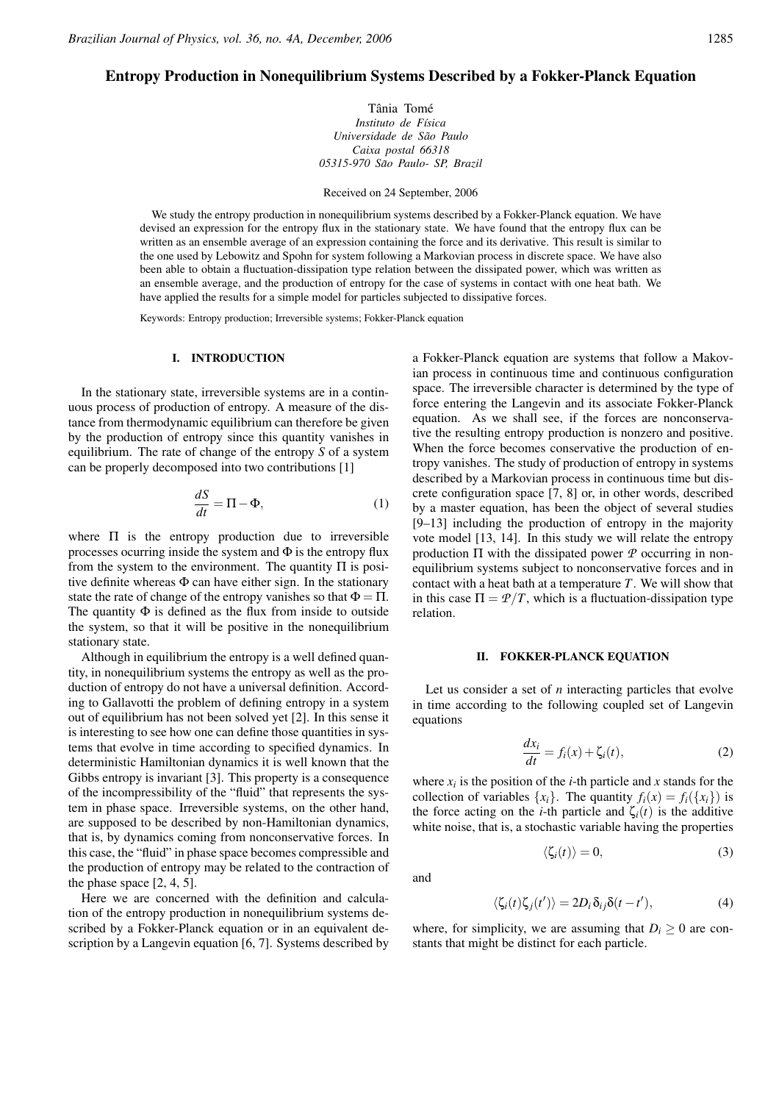# Entropy Production in Nonequilibrium Systems Described by a Fokker-Planck Equation

Tânia Tomé *Instituto de F´ısica Universidade de Sao Paulo ˜ Caixa postal 66318 05315-970 Sao Paulo- SP, Brazil ˜*

Received on 24 September, 2006

We study the entropy production in nonequilibrium systems described by a Fokker-Planck equation. We have devised an expression for the entropy flux in the stationary state. We have found that the entropy flux can be written as an ensemble average of an expression containing the force and its derivative. This result is similar to the one used by Lebowitz and Spohn for system following a Markovian process in discrete space. We have also been able to obtain a fluctuation-dissipation type relation between the dissipated power, which was written as an ensemble average, and the production of entropy for the case of systems in contact with one heat bath. We have applied the results for a simple model for particles subjected to dissipative forces.

Keywords: Entropy production; Irreversible systems; Fokker-Planck equation

### I. INTRODUCTION

In the stationary state, irreversible systems are in a continuous process of production of entropy. A measure of the distance from thermodynamic equilibrium can therefore be given by the production of entropy since this quantity vanishes in equilibrium. The rate of change of the entropy *S* of a system can be properly decomposed into two contributions [1]

$$
\frac{dS}{dt} = \Pi - \Phi,\tag{1}
$$

where Π is the entropy production due to irreversible processes ocurring inside the system and  $\Phi$  is the entropy flux from the system to the environment. The quantity  $\Pi$  is positive definite whereas  $\Phi$  can have either sign. In the stationary state the rate of change of the entropy vanishes so that  $\Phi = \Pi$ . The quantity  $\Phi$  is defined as the flux from inside to outside the system, so that it will be positive in the nonequilibrium stationary state.

Although in equilibrium the entropy is a well defined quantity, in nonequilibrium systems the entropy as well as the production of entropy do not have a universal definition. According to Gallavotti the problem of defining entropy in a system out of equilibrium has not been solved yet [2]. In this sense it is interesting to see how one can define those quantities in systems that evolve in time according to specified dynamics. In deterministic Hamiltonian dynamics it is well known that the Gibbs entropy is invariant [3]. This property is a consequence of the incompressibility of the "fluid" that represents the system in phase space. Irreversible systems, on the other hand, are supposed to be described by non-Hamiltonian dynamics, that is, by dynamics coming from nonconservative forces. In this case, the "fluid" in phase space becomes compressible and the production of entropy may be related to the contraction of the phase space [2, 4, 5].

Here we are concerned with the definition and calculation of the entropy production in nonequilibrium systems described by a Fokker-Planck equation or in an equivalent description by a Langevin equation [6, 7]. Systems described by

a Fokker-Planck equation are systems that follow a Makovian process in continuous time and continuous configuration space. The irreversible character is determined by the type of force entering the Langevin and its associate Fokker-Planck equation. As we shall see, if the forces are nonconservative the resulting entropy production is nonzero and positive. When the force becomes conservative the production of entropy vanishes. The study of production of entropy in systems described by a Markovian process in continuous time but discrete configuration space [7, 8] or, in other words, described by a master equation, has been the object of several studies [9–13] including the production of entropy in the majority vote model [13, 14]. In this study we will relate the entropy production Π with the dissipated power *P* occurring in nonequilibrium systems subject to nonconservative forces and in contact with a heat bath at a temperature *T*. We will show that in this case  $\Pi = \mathcal{P}/T$ , which is a fluctuation-dissipation type relation.

#### II. FOKKER-PLANCK EQUATION

Let us consider a set of *n* interacting particles that evolve in time according to the following coupled set of Langevin equations

$$
\frac{dx_i}{dt} = f_i(x) + \zeta_i(t),\tag{2}
$$

where  $x_i$  is the position of the *i*-th particle and  $x$  stands for the collection of variables  $\{x_i\}$ . The quantity  $f_i(x) = f_i(\{x_i\})$  is the force acting on the *i*-th particle and  $\zeta_i(t)$  is the additive white noise, that is, a stochastic variable having the properties

$$
\langle \zeta_i(t) \rangle = 0, \tag{3}
$$

and

$$
\langle \zeta_i(t)\zeta_j(t')\rangle = 2D_i \delta_{ij} \delta(t-t'),\tag{4}
$$

where, for simplicity, we are assuming that  $D_i \geq 0$  are constants that might be distinct for each particle.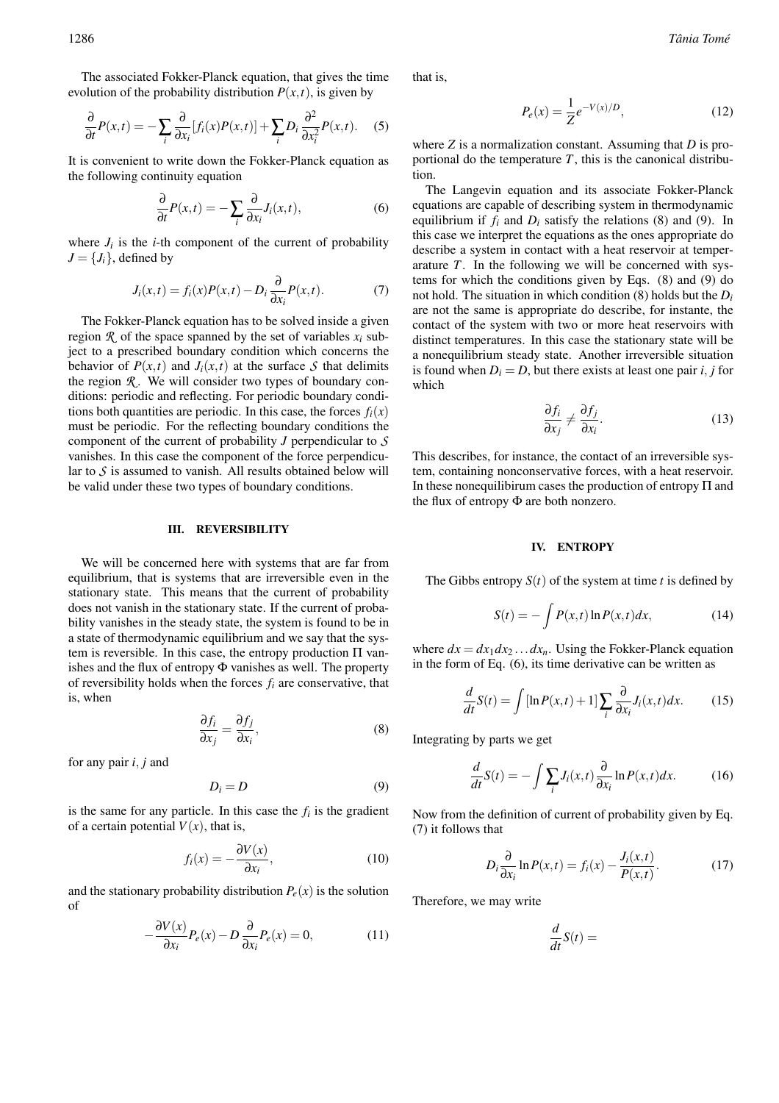The associated Fokker-Planck equation, that gives the time evolution of the probability distribution  $P(x,t)$ , is given by

$$
\frac{\partial}{\partial t}P(x,t) = -\sum_{i} \frac{\partial}{\partial x_i} [f_i(x)P(x,t)] + \sum_{i} D_i \frac{\partial^2}{\partial x_i^2} P(x,t). \quad (5)
$$

It is convenient to write down the Fokker-Planck equation as the following continuity equation

$$
\frac{\partial}{\partial t}P(x,t) = -\sum_{i} \frac{\partial}{\partial x_i} J_i(x,t),\tag{6}
$$

where  $J_i$  is the *i*-th component of the current of probability  $J = \{J_i\}$ , defined by

$$
J_i(x,t) = f_i(x)P(x,t) - D_i \frac{\partial}{\partial x_i} P(x,t).
$$
 (7)

The Fokker-Planck equation has to be solved inside a given region  $\mathcal{R}$  of the space spanned by the set of variables  $x_i$  subject to a prescribed boundary condition which concerns the behavior of  $P(x,t)$  and  $J_i(x,t)$  at the surface S that delimits the region  $\mathcal{R}$ . We will consider two types of boundary conditions: periodic and reflecting. For periodic boundary conditions both quantities are periodic. In this case, the forces  $f_i(x)$ must be periodic. For the reflecting boundary conditions the component of the current of probability *J* perpendicular to *S* vanishes. In this case the component of the force perpendicular to *S* is assumed to vanish. All results obtained below will be valid under these two types of boundary conditions.

### III. REVERSIBILITY

We will be concerned here with systems that are far from equilibrium, that is systems that are irreversible even in the stationary state. This means that the current of probability does not vanish in the stationary state. If the current of probability vanishes in the steady state, the system is found to be in a state of thermodynamic equilibrium and we say that the system is reversible. In this case, the entropy production  $\Pi$  vanishes and the flux of entropy  $\Phi$  vanishes as well. The property of reversibility holds when the forces *f<sup>i</sup>* are conservative, that is, when

$$
\frac{\partial f_i}{\partial x_j} = \frac{\partial f_j}{\partial x_i},\tag{8}
$$

for any pair *i*, *j* and

$$
D_i = D \tag{9}
$$

is the same for any particle. In this case the  $f_i$  is the gradient of a certain potential  $V(x)$ , that is,

$$
f_i(x) = -\frac{\partial V(x)}{\partial x_i},\tag{10}
$$

and the stationary probability distribution  $P_e(x)$  is the solution of

$$
-\frac{\partial V(x)}{\partial x_i}P_e(x) - D\frac{\partial}{\partial x_i}P_e(x) = 0, \qquad (11)
$$

that is,

$$
P_e(x) = \frac{1}{Z} e^{-V(x)/D},
$$
\n(12)

where *Z* is a normalization constant. Assuming that *D* is proportional do the temperature *T*, this is the canonical distribution.

The Langevin equation and its associate Fokker-Planck equations are capable of describing system in thermodynamic equilibrium if  $f_i$  and  $D_i$  satisfy the relations (8) and (9). In this case we interpret the equations as the ones appropriate do describe a system in contact with a heat reservoir at temperarature *T*. In the following we will be concerned with systems for which the conditions given by Eqs. (8) and (9) do not hold. The situation in which condition (8) holds but the *D<sup>i</sup>* are not the same is appropriate do describe, for instante, the contact of the system with two or more heat reservoirs with distinct temperatures. In this case the stationary state will be a nonequilibrium steady state. Another irreversible situation is found when  $D_i = D$ , but there exists at least one pair *i*, *j* for which

$$
\frac{\partial f_i}{\partial x_j} \neq \frac{\partial f_j}{\partial x_i}.\tag{13}
$$

This describes, for instance, the contact of an irreversible system, containing nonconservative forces, with a heat reservoir. In these nonequilibirum cases the production of entropy  $\Pi$  and the flux of entropy  $\Phi$  are both nonzero.

### IV. ENTROPY

The Gibbs entropy  $S(t)$  of the system at time *t* is defined by

$$
S(t) = -\int P(x,t)\ln P(x,t)dx,
$$
\n(14)

where  $dx = dx_1 dx_2 \dots dx_n$ . Using the Fokker-Planck equation in the form of Eq. (6), its time derivative can be written as

$$
\frac{d}{dt}S(t) = \int [\ln P(x,t) + 1] \sum_{i} \frac{\partial}{\partial x_i} J_i(x,t) dx.
$$
 (15)

Integrating by parts we get

$$
\frac{d}{dt}S(t) = -\int \sum_{i} J_i(x, t) \frac{\partial}{\partial x_i} \ln P(x, t) dx.
$$
 (16)

Now from the definition of current of probability given by Eq. (7) it follows that

$$
D_i \frac{\partial}{\partial x_i} \ln P(x, t) = f_i(x) - \frac{J_i(x, t)}{P(x, t)}.
$$
 (17)

Therefore, we may write

$$
\frac{d}{dt}S(t) =
$$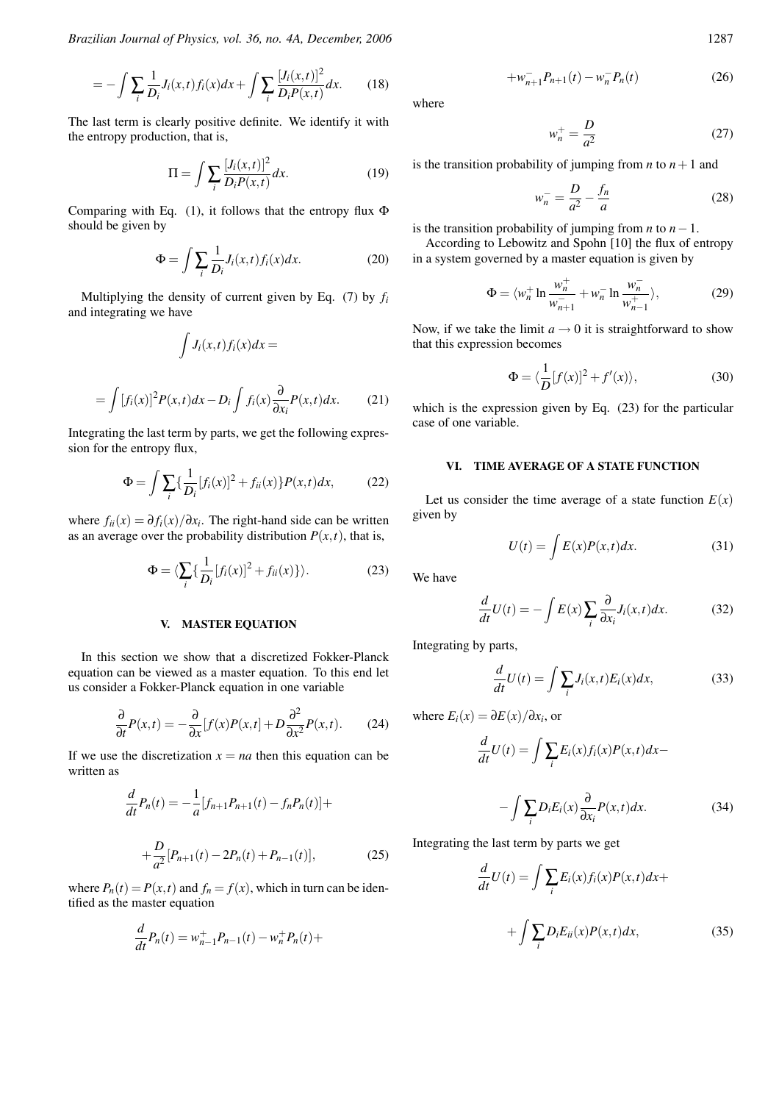*Brazilian Journal of Physics, vol. 36, no. 4A, December, 2006* 1287

$$
=-\int \sum_{i} \frac{1}{D_i} J_i(x,t) f_i(x) dx + \int \sum_{i} \frac{[J_i(x,t)]^2}{D_i P(x,t)} dx.
$$
 (18)

The last term is clearly positive definite. We identify it with the entropy production, that is,

$$
\Pi = \int \sum_{i} \frac{[J_i(x,t)]^2}{D_i P(x,t)} dx.
$$
 (19)

Comparing with Eq. (1), it follows that the entropy flux Φ should be given by

$$
\Phi = \int \sum_{i} \frac{1}{D_i} J_i(x, t) f_i(x) dx.
$$
 (20)

Multiplying the density of current given by Eq. (7) by *f<sup>i</sup>* and integrating we have

$$
\int J_i(x,t)f_i(x)dx =
$$

$$
= \int [f_i(x)]^2 P(x,t) dx - D_i \int f_i(x) \frac{\partial}{\partial x_i} P(x,t) dx.
$$
 (21)

Integrating the last term by parts, we get the following expression for the entropy flux,

$$
\Phi = \int \sum_{i} \{ \frac{1}{D_i} [f_i(x)]^2 + f_{ii}(x) \} P(x, t) dx, \tag{22}
$$

where  $f_{ii}(x) = \partial f_i(x)/\partial x_i$ . The right-hand side can be written as an average over the probability distribution  $P(x,t)$ , that is,

$$
\Phi = \langle \sum_{i} \{ \frac{1}{D_i} [f_i(x)]^2 + f_{ii}(x) \} \rangle.
$$
 (23)

### V. MASTER EQUATION

In this section we show that a discretized Fokker-Planck equation can be viewed as a master equation. To this end let us consider a Fokker-Planck equation in one variable

$$
\frac{\partial}{\partial t}P(x,t) = -\frac{\partial}{\partial x}[f(x)P(x,t] + D\frac{\partial^2}{\partial x^2}P(x,t). \tag{24}
$$

If we use the discretization  $x = na$  then this equation can be written as

$$
\frac{d}{dt}P_n(t) = -\frac{1}{a}[f_{n+1}P_{n+1}(t) - f_nP_n(t)] +
$$

$$
+\frac{D}{a^2}[P_{n+1}(t) - 2P_n(t) + P_{n-1}(t)],
$$
(25)

where  $P_n(t) = P(x,t)$  and  $f_n = f(x)$ , which in turn can be identified as the master equation

$$
\frac{d}{dt}P_n(t) = w_{n-1}^+ P_{n-1}(t) - w_n^+ P_n(t) +
$$

where

$$
w_n^+ = \frac{D}{a^2} \tag{27}
$$

 $+w_{n+1}^{-}P_{n+1}(t) - w_n^{-}P_n(t)$  (26)

is the transition probability of jumping from  $n$  to  $n+1$  and

$$
w_n^- = \frac{D}{a^2} - \frac{f_n}{a} \tag{28}
$$

is the transition probability of jumping from *n* to  $n-1$ .

According to Lebowitz and Spohn [10] the flux of entropy in a system governed by a master equation is given by

$$
\Phi = \langle w_n^+ \ln \frac{w_n^+}{w_{n+1}^-} + w_n^- \ln \frac{w_n^-}{w_{n-1}^+} \rangle, \tag{29}
$$

Now, if we take the limit  $a \rightarrow 0$  it is straightforward to show that this expression becomes

$$
\Phi = \langle \frac{1}{D} [f(x)]^2 + f'(x) \rangle, \tag{30}
$$

which is the expression given by Eq. (23) for the particular case of one variable.

## VI. TIME AVERAGE OF A STATE FUNCTION

Let us consider the time average of a state function  $E(x)$ given by

$$
U(t) = \int E(x)P(x,t)dx.
$$
 (31)

We have

$$
\frac{d}{dt}U(t) = -\int E(x) \sum_{i} \frac{\partial}{\partial x_{i}} J_{i}(x, t) dx.
$$
 (32)

Integrating by parts,

$$
\frac{d}{dt}U(t) = \int \sum_{i} J_i(x, t) E_i(x) dx,
$$
\n(33)

where  $E_i(x) = \partial E(x)/\partial x_i$ , or

$$
\frac{d}{dt}U(t) = \int \sum_{i} E_i(x) f_i(x) P(x, t) dx -
$$
\n
$$
-\int \sum_{i} D_i E_i(x) \frac{\partial}{\partial x_i} P(x, t) dx.
$$
\n(34)

Integrating the last term by parts we get

$$
\frac{d}{dt}U(t) = \int \sum_{i} E_i(x) f_i(x) P(x, t) dx +
$$

$$
+ \int \sum_{i} D_i E_{ii}(x) P(x, t) dx,
$$
(35)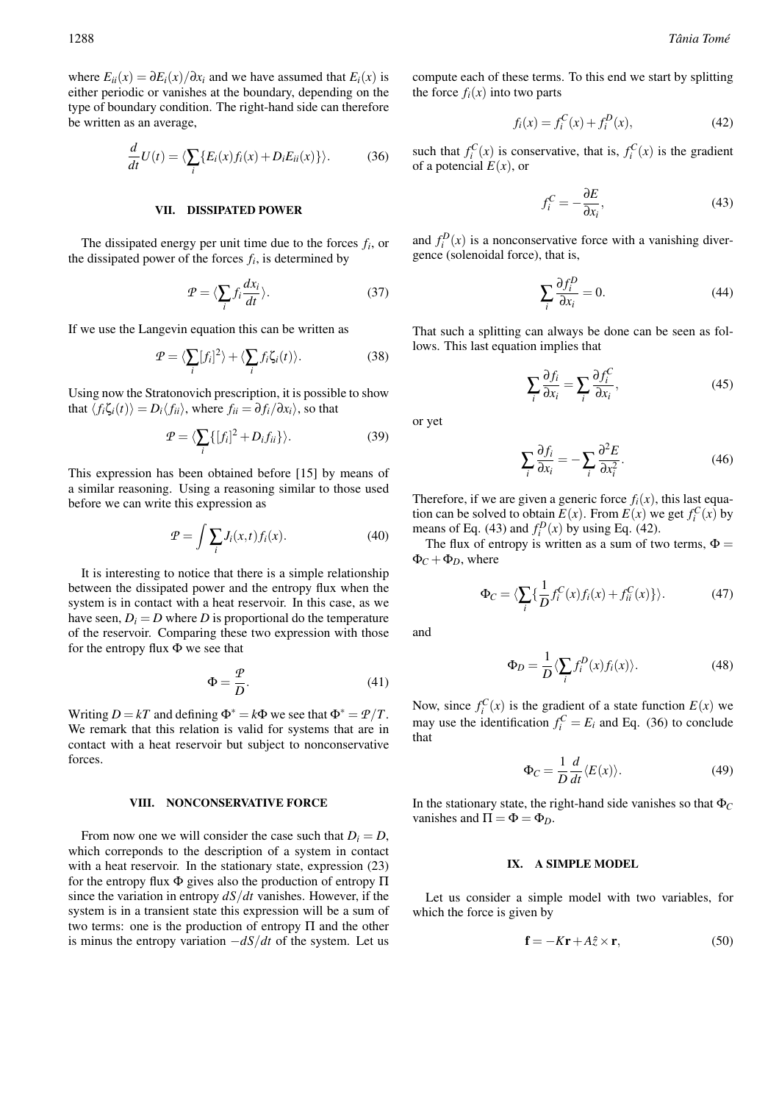where  $E_{ii}(x) = \frac{\partial E_i(x)}{\partial x_i}$  and we have assumed that  $E_i(x)$  is either periodic or vanishes at the boundary, depending on the type of boundary condition. The right-hand side can therefore be written as an average,

$$
\frac{d}{dt}U(t) = \langle \sum_{i} \{ E_i(x) f_i(x) + D_i E_{ii}(x) \} \rangle.
$$
 (36)

### VII. DISSIPATED POWER

The dissipated energy per unit time due to the forces *f<sup>i</sup>* , or the dissipated power of the forces  $f_i$ , is determined by

$$
\mathcal{P} = \langle \sum_{i} f_i \frac{dx_i}{dt} \rangle. \tag{37}
$$

If we use the Langevin equation this can be written as

$$
\mathcal{P} = \langle \sum_{i} [f_i]^2 \rangle + \langle \sum_{i} f_i \zeta_i(t) \rangle. \tag{38}
$$

Using now the Stratonovich prescription, it is possible to show that  $\langle f_i \zeta_i(t) \rangle = D_i \langle f_{ii} \rangle$ , where  $f_{ii} = \partial f_i / \partial x_i$ , so that

$$
\mathcal{P} = \langle \sum_{i} \{ [f_i]^2 + D_i f_{ii} \} \rangle.
$$
 (39)

This expression has been obtained before [15] by means of a similar reasoning. Using a reasoning similar to those used before we can write this expression as

$$
\mathcal{P} = \int \sum_{i} J_i(x, t) f_i(x). \tag{40}
$$

It is interesting to notice that there is a simple relationship between the dissipated power and the entropy flux when the system is in contact with a heat reservoir. In this case, as we have seen,  $D_i = D$  where *D* is proportional do the temperature of the reservoir. Comparing these two expression with those for the entropy flux Φ we see that

$$
\Phi = \frac{p}{D}.\tag{41}
$$

Writing  $D = kT$  and defining  $\Phi^* = k\Phi$  we see that  $\Phi^* = \Psi/T$ . We remark that this relation is valid for systems that are in contact with a heat reservoir but subject to nonconservative forces.

### VIII. NONCONSERVATIVE FORCE

From now one we will consider the case such that  $D_i = D$ , which correponds to the description of a system in contact with a heat reservoir. In the stationary state, expression  $(23)$ for the entropy flux Φ gives also the production of entropy Π since the variation in entropy *dS*/*dt* vanishes. However, if the system is in a transient state this expression will be a sum of two terms: one is the production of entropy  $\Pi$  and the other is minus the entropy variation −*dS*/*dt* of the system. Let us

compute each of these terms. To this end we start by splitting the force  $f_i(x)$  into two parts

$$
f_i(x) = f_i^C(x) + f_i^D(x),
$$
 (42)

such that  $f_i^C(x)$  is conservative, that is,  $f_i^C(x)$  is the gradient of a potencial  $E(x)$ , or

$$
f_i^C = -\frac{\partial E}{\partial x_i},\tag{43}
$$

and  $f_i^D(x)$  is a nonconservative force with a vanishing divergence (solenoidal force), that is,

$$
\sum_{i} \frac{\partial f_i^D}{\partial x_i} = 0.
$$
\n(44)

That such a splitting can always be done can be seen as follows. This last equation implies that

$$
\sum_{i} \frac{\partial f_i}{\partial x_i} = \sum_{i} \frac{\partial f_i^C}{\partial x_i},\tag{45}
$$

or yet

$$
\sum_{i} \frac{\partial f_i}{\partial x_i} = -\sum_{i} \frac{\partial^2 E}{\partial x_i^2}.
$$
\n(46)

Therefore, if we are given a generic force  $f_i(x)$ , this last equation can be solved to obtain  $E(x)$ . From  $E(x)$  we get  $f_i^C(x)$  by means of Eq. (43) and  $f_i^D(x)$  by using Eq. (42).

The flux of entropy is written as a sum of two terms,  $\Phi =$  $\Phi_C + \Phi_D$ , where

$$
\Phi_C = \langle \sum_i \{ \frac{1}{D} f_i^C(x) f_i(x) + f_{ii}^C(x) \} \rangle.
$$
 (47)

and

$$
\Phi_D = \frac{1}{D} \langle \sum_i f_i^D(x) f_i(x) \rangle.
$$
\n(48)

Now, since  $f_i^C(x)$  is the gradient of a state function  $E(x)$  we may use the identification  $f_i^C = E_i$  and Eq. (36) to conclude that

$$
\Phi_C = \frac{1}{D} \frac{d}{dt} \langle E(x) \rangle.
$$
 (49)

In the stationary state, the right-hand side vanishes so that  $\Phi_C$ vanishes and  $\Pi = \Phi = \Phi_D$ .

### IX. A SIMPLE MODEL

Let us consider a simple model with two variables, for which the force is given by

$$
\mathbf{f} = -K\mathbf{r} + A\hat{z} \times \mathbf{r},\tag{50}
$$